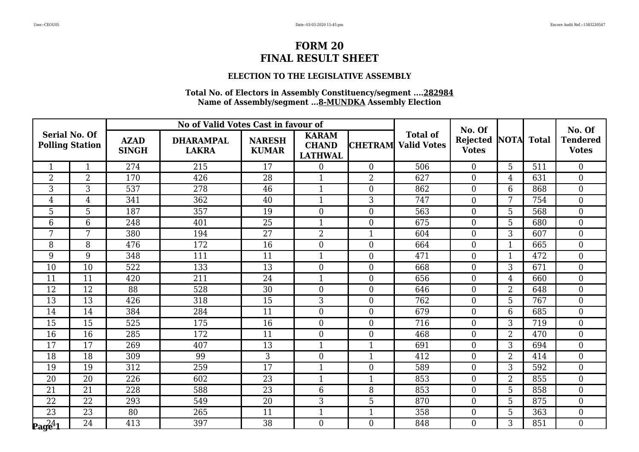### **ELECTION TO THE LEGISLATIVE ASSEMBLY**

| <b>Serial No. Of</b> |                        | No of Valid Votes Cast in favour of |                                  |                               |                                                |                  | No. Of                                |                          |                | No. Of       |                                 |
|----------------------|------------------------|-------------------------------------|----------------------------------|-------------------------------|------------------------------------------------|------------------|---------------------------------------|--------------------------|----------------|--------------|---------------------------------|
|                      | <b>Polling Station</b> | <b>AZAD</b><br><b>SINGH</b>         | <b>DHARAMPAL</b><br><b>LAKRA</b> | <b>NARESH</b><br><b>KUMAR</b> | <b>KARAM</b><br><b>CHAND</b><br><b>LATHWAL</b> | <b>CHETRAM</b>   | <b>Total of</b><br><b>Valid Votes</b> | Rejected<br><b>Votes</b> | <b>NOTA</b>    | <b>Total</b> | <b>Tendered</b><br><b>Votes</b> |
| $\mathbf{1}$         | $\mathbf{1}$           | 274                                 | 215                              | 17                            | $\theta$                                       | $\Omega$         | 506                                   | $\overline{0}$           | 5              | 511          | $\Omega$                        |
| $\overline{2}$       | $\overline{2}$         | 170                                 | 426                              | 28                            | 1                                              | $\overline{2}$   | 627                                   | $\boldsymbol{0}$         | 4              | 631          | $\boldsymbol{0}$                |
| 3                    | $\overline{3}$         | 537                                 | 278                              | 46                            | $\mathbf{1}$                                   | $\overline{0}$   | 862                                   | $\boldsymbol{0}$         | 6              | 868          | $\overline{0}$                  |
| $\overline{4}$       | $\overline{4}$         | 341                                 | 362                              | 40                            | $\mathbf{1}$                                   | 3                | 747                                   | $\overline{0}$           | 7              | 754          | $\overline{0}$                  |
| 5                    | $\overline{5}$         | 187                                 | 357                              | 19                            | $\overline{0}$                                 | $\overline{0}$   | 563                                   | $\overline{0}$           | 5              | 568          | $\overline{0}$                  |
| 6                    | 6                      | 248                                 | 401                              | 25                            | $\mathbf{1}$                                   | $\overline{0}$   | 675                                   | $\boldsymbol{0}$         | 5              | 680          | $\overline{0}$                  |
| 7                    | $7\overline{ }$        | 380                                 | 194                              | 27                            | $\overline{2}$                                 | $\mathbf{1}$     | 604                                   | $\overline{0}$           | 3              | 607          | $\overline{0}$                  |
| 8                    | 8                      | 476                                 | 172                              | 16                            | $\overline{0}$                                 | $\overline{0}$   | 664                                   | $\boldsymbol{0}$         | 1              | 665          | $\overline{0}$                  |
| 9                    | 9                      | 348                                 | 111                              | 11                            | $\mathbf{1}$                                   | $\boldsymbol{0}$ | 471                                   | $\boldsymbol{0}$         | $\mathbf{1}$   | 472          | $\boldsymbol{0}$                |
| 10                   | 10                     | 522                                 | 133                              | 13                            | $\theta$                                       | $\overline{0}$   | 668                                   | $\Omega$                 | 3              | 671          | $\overline{0}$                  |
| 11                   | 11                     | 420                                 | 211                              | 24                            | $\mathbf{1}$                                   | $\overline{0}$   | 656                                   | $\boldsymbol{0}$         | 4              | 660          | $\overline{0}$                  |
| 12                   | 12                     | 88                                  | 528                              | 30                            | $\boldsymbol{0}$                               | $\boldsymbol{0}$ | 646                                   | $\boldsymbol{0}$         | $\overline{2}$ | 648          | $\boldsymbol{0}$                |
| 13                   | 13                     | 426                                 | 318                              | 15                            | 3                                              | $\overline{0}$   | 762                                   | $\boldsymbol{0}$         | 5              | 767          | $\overline{0}$                  |
| 14                   | 14                     | 384                                 | 284                              | 11                            | $\overline{0}$                                 | $\overline{0}$   | 679                                   | $\overline{0}$           | 6              | 685          | $\overline{0}$                  |
| 15                   | 15                     | 525                                 | 175                              | 16                            | $\overline{0}$                                 | $\overline{0}$   | 716                                   | $\overline{0}$           | 3              | 719          | $\overline{0}$                  |
| 16                   | 16                     | 285                                 | 172                              | 11                            | $\overline{0}$                                 | $\overline{0}$   | 468                                   | $\overline{0}$           | $\overline{2}$ | 470          | $\overline{0}$                  |
| 17                   | 17                     | 269                                 | 407                              | 13                            | $\mathbf{1}$                                   | $\mathbf{1}$     | 691                                   | $\overline{0}$           | 3              | 694          | $\overline{0}$                  |
| 18                   | 18                     | 309                                 | 99                               | 3                             | $\overline{0}$                                 | $\mathbf{1}$     | 412                                   | $\overline{0}$           | $\overline{2}$ | 414          | $\overline{0}$                  |
| 19                   | 19                     | 312                                 | 259                              | 17                            | $\mathbf{1}$                                   | $\overline{0}$   | 589                                   | $\overline{0}$           | 3              | 592          | $\overline{0}$                  |
| 20                   | 20                     | 226                                 | 602                              | 23                            | $\mathbf{1}$                                   | 1                | 853                                   | $\boldsymbol{0}$         | 2              | 855          | $\overline{0}$                  |
| 21                   | 21                     | 228                                 | 588                              | 23                            | $6\phantom{1}6$                                | 8                | 853                                   | $\overline{0}$           | 5              | 858          | $\overline{0}$                  |
| 22                   | 22                     | 293                                 | 549                              | 20                            | 3                                              | 5                | 870                                   | $\overline{0}$           | 5              | 875          | $\overline{0}$                  |
| 23                   | 23                     | 80                                  | 265                              | 11                            | $\mathbf{1}$                                   | $\mathbf{1}$     | 358                                   | $\boldsymbol{0}$         | 5              | 363          | $\overline{0}$                  |
| $\mathbf{p_{agg4}}$  | 24                     | 413                                 | 397                              | 38                            | $\theta$                                       | $\Omega$         | 848                                   | $\overline{0}$           | 3              | 851          | $\Omega$                        |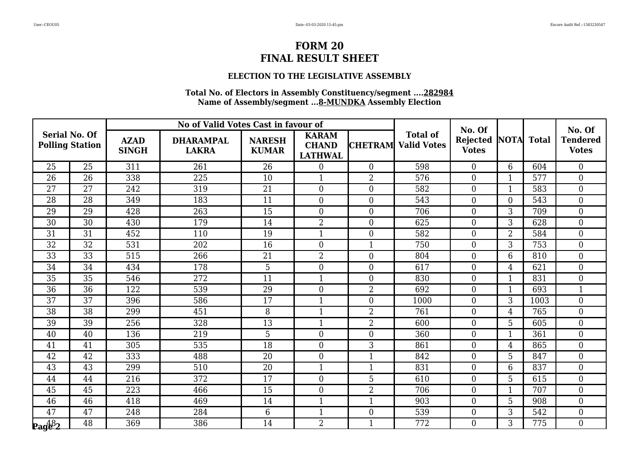### **ELECTION TO THE LEGISLATIVE ASSEMBLY**

| <b>Serial No. Of</b>   |    | No of Valid Votes Cast in favour of |                                  |                               |                                                |                  | No. Of                                |                                 |                | No. Of       |                                 |
|------------------------|----|-------------------------------------|----------------------------------|-------------------------------|------------------------------------------------|------------------|---------------------------------------|---------------------------------|----------------|--------------|---------------------------------|
| <b>Polling Station</b> |    | <b>AZAD</b><br><b>SINGH</b>         | <b>DHARAMPAL</b><br><b>LAKRA</b> | <b>NARESH</b><br><b>KUMAR</b> | <b>KARAM</b><br><b>CHAND</b><br><b>LATHWAL</b> | <b>CHETRAM</b>   | <b>Total of</b><br><b>Valid Votes</b> | <b>Rejected</b><br><b>Votes</b> | <b>NOTA</b>    | <b>Total</b> | <b>Tendered</b><br><b>Votes</b> |
| 25                     | 25 | 311                                 | 261                              | 26                            | $\overline{0}$                                 | $\Omega$         | 598                                   | $\overline{0}$                  | 6              | 604          | $\Omega$                        |
| 26                     | 26 | 338                                 | 225                              | 10                            |                                                | $\overline{2}$   | 576                                   | $\boldsymbol{0}$                | 1              | 577          | $\boldsymbol{0}$                |
| 27                     | 27 | 242                                 | 319                              | 21                            | $\boldsymbol{0}$                               | $\overline{0}$   | 582                                   | $\overline{0}$                  | $\mathbf{1}$   | 583          | $\overline{0}$                  |
| 28                     | 28 | 349                                 | 183                              | 11                            | $\overline{0}$                                 | $\overline{0}$   | 543                                   | $\overline{0}$                  | $\overline{0}$ | 543          | $\overline{0}$                  |
| 29                     | 29 | 428                                 | 263                              | 15                            | $\overline{0}$                                 | $\overline{0}$   | 706                                   | $\overline{0}$                  | 3              | 709          | $\overline{0}$                  |
| 30                     | 30 | 430                                 | 179                              | 14                            | $\overline{2}$                                 | $\overline{0}$   | 625                                   | $\boldsymbol{0}$                | 3              | 628          | $\overline{0}$                  |
| 31                     | 31 | 452                                 | 110                              | 19                            | $\mathbf{1}$                                   | $\overline{0}$   | 582                                   | $\overline{0}$                  | $\overline{2}$ | 584          | $\overline{0}$                  |
| 32                     | 32 | 531                                 | 202                              | 16                            | $\overline{0}$                                 |                  | 750                                   | $\boldsymbol{0}$                | 3              | 753          | $\overline{0}$                  |
| 33                     | 33 | 515                                 | 266                              | 21                            | $\overline{2}$                                 | $\boldsymbol{0}$ | 804                                   | $\boldsymbol{0}$                | 6              | 810          | $\boldsymbol{0}$                |
| 34                     | 34 | 434                                 | 178                              | 5                             | $\overline{0}$                                 | $\theta$         | 617                                   | $\overline{0}$                  | $\overline{4}$ | 621          | $\overline{0}$                  |
| 35                     | 35 | 546                                 | 272                              | 11                            | $\mathbf{1}$                                   | $\Omega$         | 830                                   | $\overline{0}$                  | 1              | 831          | $\overline{0}$                  |
| 36                     | 36 | 122                                 | 539                              | 29                            | $\boldsymbol{0}$                               | $\overline{2}$   | 692                                   | $\boldsymbol{0}$                | $\mathbf{1}$   | 693          | $\mathbf{1}$                    |
| 37                     | 37 | 396                                 | 586                              | 17                            | $\mathbf{1}$                                   | $\overline{0}$   | 1000                                  | $\boldsymbol{0}$                | 3              | 1003         | $\overline{0}$                  |
| 38                     | 38 | 299                                 | 451                              | 8                             | $\mathbf{1}$                                   | $\overline{2}$   | 761                                   | $\overline{0}$                  | 4              | 765          | $\overline{0}$                  |
| 39                     | 39 | 256                                 | 328                              | 13                            | $\mathbf{1}$                                   | $\overline{2}$   | 600                                   | $\overline{0}$                  | 5              | 605          | $\overline{0}$                  |
| 40                     | 40 | 136                                 | 219                              | 5                             | $\boldsymbol{0}$                               | $\overline{0}$   | 360                                   | $\overline{0}$                  | $\mathbf{1}$   | 361          | $\overline{0}$                  |
| 41                     | 41 | 305                                 | 535                              | 18                            | $\boldsymbol{0}$                               | 3                | 861                                   | $\boldsymbol{0}$                | 4              | 865          | $\overline{0}$                  |
| 42                     | 42 | 333                                 | 488                              | 20                            | $\overline{0}$                                 | $\mathbf{1}$     | 842                                   | $\overline{0}$                  | 5              | 847          | $\overline{0}$                  |
| 43                     | 43 | 299                                 | 510                              | 20                            | $\mathbf{1}$                                   | $\mathbf{1}$     | 831                                   | $\overline{0}$                  | 6              | 837          | $\overline{0}$                  |
| 44                     | 44 | 216                                 | 372                              | 17                            | $\boldsymbol{0}$                               | 5                | 610                                   | $\boldsymbol{0}$                | 5              | 615          | $\overline{0}$                  |
| 45                     | 45 | 223                                 | 466                              | 15                            | $\overline{0}$                                 | $\overline{2}$   | 706                                   | $\overline{0}$                  | $\mathbf{1}$   | 707          | $\theta$                        |
| 46                     | 46 | 418                                 | 469                              | 14                            | 1                                              | $\mathbf{1}$     | 903                                   | $\overline{0}$                  | 5              | 908          | $\boldsymbol{0}$                |
| 47                     | 47 | 248                                 | 284                              | $6\phantom{.}6$               | $\mathbf{1}$                                   | $\overline{0}$   | 539                                   | $\overline{0}$                  | 3              | 542          | $\overline{0}$                  |
| $\mathbf{p_{ag6}}_{2}$ | 48 | 369                                 | 386                              | 14                            | $\overline{2}$                                 | $\mathbf{1}$     | 772                                   | $\overline{0}$                  | 3              | 775          | $\Omega$                        |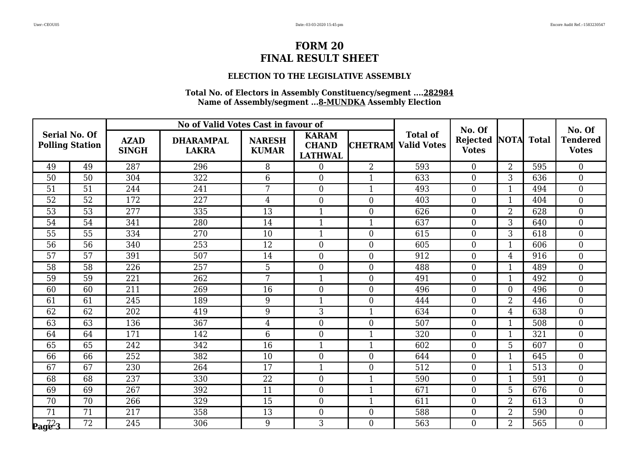### **ELECTION TO THE LEGISLATIVE ASSEMBLY**

| <b>Serial No. Of</b>                     |                        | No of Valid Votes Cast in favour of |                                  |                               |                                                |                  | No. Of                                |                          |                | No. Of       |                                 |
|------------------------------------------|------------------------|-------------------------------------|----------------------------------|-------------------------------|------------------------------------------------|------------------|---------------------------------------|--------------------------|----------------|--------------|---------------------------------|
|                                          | <b>Polling Station</b> | <b>AZAD</b><br><b>SINGH</b>         | <b>DHARAMPAL</b><br><b>LAKRA</b> | <b>NARESH</b><br><b>KUMAR</b> | <b>KARAM</b><br><b>CHAND</b><br><b>LATHWAL</b> | <b>CHETRAM</b>   | <b>Total of</b><br><b>Valid Votes</b> | Rejected<br><b>Votes</b> | <b>NOTA</b>    | <b>Total</b> | <b>Tendered</b><br><b>Votes</b> |
| 49                                       | 49                     | 287                                 | 296                              | 8                             | $\theta$                                       | 2                | 593                                   | $\overline{0}$           | $\overline{2}$ | 595          | $\overline{0}$                  |
| 50                                       | 50                     | 304                                 | 322                              | 6                             | $\overline{0}$                                 |                  | 633                                   | $\overline{0}$           | 3              | 636          | $\overline{0}$                  |
| 51                                       | 51                     | 244                                 | 241                              | $7\phantom{.}$                | $\overline{0}$                                 | $\mathbf{1}$     | 493                                   | $\boldsymbol{0}$         | $\mathbf{1}$   | 494          | $\overline{0}$                  |
| 52                                       | 52                     | 172                                 | 227                              | $\overline{4}$                | $\overline{0}$                                 | $\overline{0}$   | 403                                   | $\overline{0}$           | $\mathbf{1}$   | 404          | $\overline{0}$                  |
| 53                                       | 53                     | 277                                 | 335                              | 13                            | $\mathbf{1}$                                   | $\overline{0}$   | 626                                   | $\boldsymbol{0}$         | $\overline{2}$ | 628          | $\overline{0}$                  |
| 54                                       | 54                     | 341                                 | 280                              | 14                            | $\mathbf{1}$                                   |                  | 637                                   | $\boldsymbol{0}$         | 3              | 640          | $\boldsymbol{0}$                |
| 55                                       | 55                     | 334                                 | 270                              | 10                            | $\mathbf{1}$                                   | $\overline{0}$   | 615                                   | $\overline{0}$           | 3              | 618          | $\overline{0}$                  |
| 56                                       | 56                     | 340                                 | 253                              | 12                            | $\overline{0}$                                 | $\overline{0}$   | 605                                   | $\overline{0}$           | 1              | 606          | $\overline{0}$                  |
| $\overline{57}$                          | $\overline{57}$        | 391                                 | 507                              | 14                            | $\overline{0}$                                 | $\overline{0}$   | 912                                   | $\boldsymbol{0}$         | 4              | 916          | $\overline{0}$                  |
| 58                                       | 58                     | 226                                 | 257                              | 5                             | $\overline{0}$                                 | $\overline{0}$   | 488                                   | $\overline{0}$           | $\mathbf{1}$   | 489          | $\overline{0}$                  |
| 59                                       | 59                     | 221                                 | 262                              | 7                             | $\mathbf{1}$                                   | $\overline{0}$   | 491                                   | $\overline{0}$           | 1              | 492          | $\overline{0}$                  |
| 60                                       | 60                     | 211                                 | 269                              | 16                            | $\overline{0}$                                 | $\overline{0}$   | 496                                   | $\boldsymbol{0}$         | $\overline{0}$ | 496          | $\overline{0}$                  |
| 61                                       | 61                     | 245                                 | 189                              | 9                             | $\mathbf{1}$                                   | $\overline{0}$   | 444                                   | $\boldsymbol{0}$         | $\overline{2}$ | 446          | $\overline{0}$                  |
| 62                                       | 62                     | 202                                 | 419                              | 9                             | $\mathfrak{Z}$                                 | $\mathbf{1}$     | 634                                   | $\boldsymbol{0}$         | 4              | 638          | $\overline{0}$                  |
| 63                                       | 63                     | 136                                 | 367                              | $\overline{4}$                | $\overline{0}$                                 | $\overline{0}$   | 507                                   | $\boldsymbol{0}$         | $\mathbf{1}$   | 508          | $\overline{0}$                  |
| 64                                       | 64                     | 171                                 | 142                              | $6\phantom{.}6$               | $\mathbf{0}$                                   | $\mathbf{1}$     | 320                                   | $\boldsymbol{0}$         | $\mathbf{1}$   | 321          | $\overline{0}$                  |
| 65                                       | 65                     | 242                                 | 342                              | 16                            | $\mathbf{1}$                                   | $\mathbf{1}$     | 602                                   | $\boldsymbol{0}$         | 5              | 607          | $\overline{0}$                  |
| 66                                       | 66                     | 252                                 | 382                              | 10                            | $\theta$                                       | $\theta$         | 644                                   | $\overline{0}$           | $\mathbf{1}$   | 645          | $\overline{0}$                  |
| 67                                       | 67                     | 230                                 | 264                              | 17                            | 1                                              | $\overline{0}$   | 512                                   | $\boldsymbol{0}$         | 1              | 513          | $\overline{0}$                  |
| 68                                       | 68                     | 237                                 | 330                              | 22                            | $\boldsymbol{0}$                               | $\mathbf{1}$     | 590                                   | $\boldsymbol{0}$         | $\mathbf{1}$   | 591          | $\overline{0}$                  |
| 69                                       | 69                     | 267                                 | 392                              | 11                            | $\theta$                                       | $\mathbf{1}$     | 671                                   | $\overline{0}$           | 5              | 676          | $\overline{0}$                  |
| 70                                       | 70                     | 266                                 | 329                              | 15                            | $\mathbf{0}$                                   | 1                | 611                                   | $\overline{0}$           | 2              | 613          | $\overline{0}$                  |
| 71                                       | 71                     | 217                                 | 358                              | 13                            | $\boldsymbol{0}$                               | $\boldsymbol{0}$ | 588                                   | $\boldsymbol{0}$         | $\overline{2}$ | 590          | $\overline{0}$                  |
| $\mathbf{p_{ag}^{\mathbb{Z}\mathbb{Z}}}$ | 72                     | 245                                 | 306                              | 9                             | 3                                              | $\Omega$         | 563                                   | $\overline{0}$           | $\overline{2}$ | 565          | $\Omega$                        |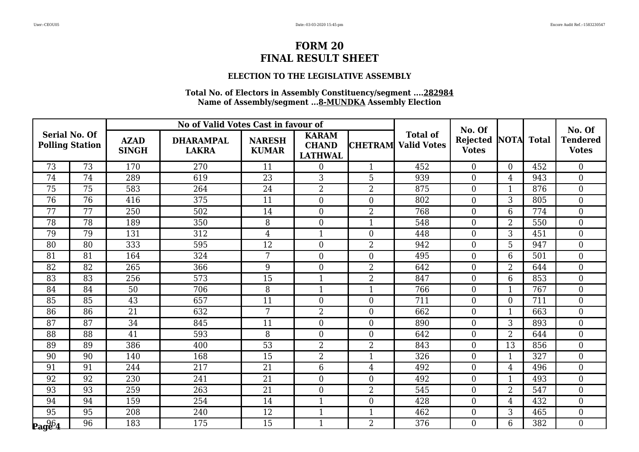### **ELECTION TO THE LEGISLATIVE ASSEMBLY**

| <b>Serial No. Of</b> |                        |                             | No of Valid Votes Cast in favour of |                               |                                                |                  |                                       | No. Of                   |                  |              | No. Of                          |
|----------------------|------------------------|-----------------------------|-------------------------------------|-------------------------------|------------------------------------------------|------------------|---------------------------------------|--------------------------|------------------|--------------|---------------------------------|
|                      | <b>Polling Station</b> | <b>AZAD</b><br><b>SINGH</b> | <b>DHARAMPAL</b><br><b>LAKRA</b>    | <b>NARESH</b><br><b>KUMAR</b> | <b>KARAM</b><br><b>CHAND</b><br><b>LATHWAL</b> | <b>CHETRAM</b>   | <b>Total of</b><br><b>Valid Votes</b> | Rejected<br><b>Votes</b> | <b>NOTA</b>      | <b>Total</b> | <b>Tendered</b><br><b>Votes</b> |
| 73                   | 73                     | 170                         | 270                                 | 11                            | $\theta$                                       | 1                | 452                                   | $\overline{0}$           | $\Omega$         | 452          | $\overline{0}$                  |
| 74                   | 74                     | 289                         | 619                                 | 23                            | 3                                              | 5                | 939                                   | $\overline{0}$           | 4                | 943          | $\overline{0}$                  |
| 75                   | 75                     | 583                         | 264                                 | 24                            | $\overline{2}$                                 | $\overline{2}$   | 875                                   | $\boldsymbol{0}$         | $\mathbf{1}$     | 876          | $\overline{0}$                  |
| 76                   | 76                     | 416                         | 375                                 | 11                            | $\overline{0}$                                 | $\overline{0}$   | 802                                   | $\overline{0}$           | 3                | 805          | $\overline{0}$                  |
| 77                   | 77                     | 250                         | 502                                 | 14                            | $\overline{0}$                                 | $\overline{2}$   | 768                                   | $\overline{0}$           | 6                | 774          | $\overline{0}$                  |
| 78                   | 78                     | 189                         | 350                                 | 8                             | $\mathbf{0}$                                   | $\mathbf{1}$     | 548                                   | $\boldsymbol{0}$         | $\overline{2}$   | 550          | $\boldsymbol{0}$                |
| 79                   | 79                     | 131                         | 312                                 | $\overline{4}$                | $\mathbf{1}$                                   | $\overline{0}$   | 448                                   | $\overline{0}$           | 3                | 451          | $\overline{0}$                  |
| 80                   | 80                     | 333                         | 595                                 | 12                            | $\overline{0}$                                 | $\overline{2}$   | 942                                   | $\overline{0}$           | 5                | 947          | $\overline{0}$                  |
| 81                   | 81                     | 164                         | 324                                 | $\overline{7}$                | $\overline{0}$                                 | $\overline{0}$   | 495                                   | $\boldsymbol{0}$         | 6                | 501          | $\overline{0}$                  |
| 82                   | 82                     | 265                         | 366                                 | 9                             | $\overline{0}$                                 | $\overline{2}$   | 642                                   | $\overline{0}$           | $\overline{2}$   | 644          | $\overline{0}$                  |
| 83                   | 83                     | 256                         | 573                                 | 15                            | $\mathbf{1}$                                   | $\overline{2}$   | 847                                   | $\overline{0}$           | 6                | 853          | $\overline{0}$                  |
| 84                   | 84                     | 50                          | 706                                 | 8                             | $\mathbf{1}$                                   | $\mathbf{1}$     | 766                                   | $\boldsymbol{0}$         | $\mathbf{1}$     | 767          | $\overline{0}$                  |
| 85                   | 85                     | 43                          | 657                                 | 11                            | $\boldsymbol{0}$                               | $\overline{0}$   | 711                                   | $\boldsymbol{0}$         | $\boldsymbol{0}$ | 711          | $\overline{0}$                  |
| 86                   | $\overline{86}$        | 21                          | 632                                 | $7\phantom{.}$                | $\overline{2}$                                 | $\overline{0}$   | 662                                   | $\boldsymbol{0}$         | $\mathbf{1}$     | 663          | $\overline{0}$                  |
| 87                   | 87                     | 34                          | 845                                 | 11                            | $\overline{0}$                                 | $\overline{0}$   | 890                                   | $\overline{0}$           | 3                | 893          | $\overline{0}$                  |
| 88                   | 88                     | 41                          | 593                                 | 8                             | $\boldsymbol{0}$                               | $\overline{0}$   | 642                                   | $\boldsymbol{0}$         | $\overline{2}$   | 644          | $\overline{0}$                  |
| 89                   | 89                     | 386                         | 400                                 | 53                            | $\overline{2}$                                 | $\overline{2}$   | 843                                   | $\boldsymbol{0}$         | 13               | 856          | $\overline{0}$                  |
| 90                   | 90                     | 140                         | 168                                 | $\overline{15}$               | $\overline{2}$                                 | $\mathbf{1}$     | 326                                   | $\overline{0}$           | $\mathbf{1}$     | 327          | $\theta$                        |
| 91                   | 91                     | 244                         | 217                                 | 21                            | 6                                              | $\overline{4}$   | 492                                   | $\boldsymbol{0}$         | 4                | 496          | $\overline{0}$                  |
| 92                   | 92                     | 230                         | 241                                 | 21                            | $\mathbf{0}$                                   | $\boldsymbol{0}$ | 492                                   | $\boldsymbol{0}$         | $\mathbf{1}$     | 493          | $\overline{0}$                  |
| 93                   | 93                     | 259                         | 263                                 | 21                            | $\theta$                                       | $\overline{2}$   | 545                                   | $\overline{0}$           | $\overline{2}$   | 547          | $\Omega$                        |
| 94                   | 94                     | 159                         | 254                                 | 14                            | $\mathbf 1$                                    | $\overline{0}$   | 428                                   | $\overline{0}$           | 4                | 432          | $\overline{0}$                  |
| 95                   | 95                     | 208                         | 240                                 | 12                            | $\mathbf{1}$                                   | $\mathbf{1}$     | 462                                   | $\overline{0}$           | 3                | 465          | $\overline{0}$                  |
| $\mathbf{p_{ag64}}$  | 96                     | 183                         | 175                                 | 15                            | $\mathbf{1}$                                   | $\overline{2}$   | 376                                   | $\overline{0}$           | 6                | 382          | $\Omega$                        |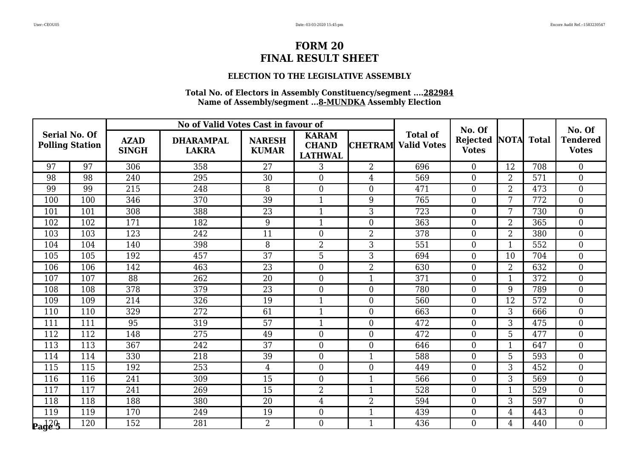### **ELECTION TO THE LEGISLATIVE ASSEMBLY**

|                                            |                        |                             | No of Valid Votes Cast in favour of |                               |                                                |                  |                                       | No. Of                   |                |              | No. Of                          |
|--------------------------------------------|------------------------|-----------------------------|-------------------------------------|-------------------------------|------------------------------------------------|------------------|---------------------------------------|--------------------------|----------------|--------------|---------------------------------|
| <b>Serial No. Of</b>                       | <b>Polling Station</b> | <b>AZAD</b><br><b>SINGH</b> | <b>DHARAMPAL</b><br><b>LAKRA</b>    | <b>NARESH</b><br><b>KUMAR</b> | <b>KARAM</b><br><b>CHAND</b><br><b>LATHWAL</b> | <b>CHETRAM</b>   | <b>Total of</b><br><b>Valid Votes</b> | Rejected<br><b>Votes</b> | <b>NOTA</b>    | <b>Total</b> | <b>Tendered</b><br><b>Votes</b> |
| 97                                         | 97                     | 306                         | 358                                 | 27                            | 3                                              | 2                | 696                                   | $\overline{0}$           | 12             | 708          | $\overline{0}$                  |
| 98                                         | 98                     | 240                         | 295                                 | 30                            | $\overline{0}$                                 | $\overline{4}$   | 569                                   | $\boldsymbol{0}$         | 2              | 571          | $\overline{0}$                  |
| 99                                         | 99                     | 215                         | 248                                 | 8                             | $\overline{0}$                                 | $\overline{0}$   | 471                                   | $\overline{0}$           | $\overline{2}$ | 473          | $\boldsymbol{0}$                |
| 100                                        | 100                    | 346                         | 370                                 | 39                            | $\mathbf{1}$                                   | 9                | 765                                   | $\overline{0}$           | 7              | 772          | $\overline{0}$                  |
| 101                                        | 101                    | 308                         | 388                                 | 23                            | $\mathbf{1}$                                   | $\overline{3}$   | 723                                   | $\overline{0}$           | 7              | 730          | $\overline{0}$                  |
| 102                                        | 102                    | 171                         | 182                                 | 9                             | $\mathbf{1}$                                   | $\boldsymbol{0}$ | 363                                   | $\boldsymbol{0}$         | $\overline{2}$ | 365          | $\boldsymbol{0}$                |
| 103                                        | 103                    | 123                         | 242                                 | 11                            | $\theta$                                       | $\overline{2}$   | 378                                   | $\overline{0}$           | $\overline{2}$ | 380          | $\overline{0}$                  |
| 104                                        | 104                    | 140                         | 398                                 | 8                             | $\overline{2}$                                 | 3                | 551                                   | $\overline{0}$           | 1              | 552          | $\overline{0}$                  |
| 105                                        | 105                    | 192                         | 457                                 | $\overline{37}$               | 5                                              | 3                | 694                                   | $\overline{0}$           | 10             | 704          | $\overline{0}$                  |
| 106                                        | 106                    | 142                         | 463                                 | 23                            | $\overline{0}$                                 | $\overline{2}$   | 630                                   | $\overline{0}$           | $\overline{2}$ | 632          | $\overline{0}$                  |
| 107                                        | 107                    | 88                          | 262                                 | 20                            | $\overline{0}$                                 | $\mathbf{1}$     | 371                                   | $\overline{0}$           | 1              | 372          | $\overline{0}$                  |
| 108                                        | 108                    | 378                         | 379                                 | 23                            | $\overline{0}$                                 | $\overline{0}$   | 780                                   | $\overline{0}$           | 9              | 789          | $\overline{0}$                  |
| 109                                        | 109                    | 214                         | 326                                 | 19                            | $\mathbf{1}$                                   | $\overline{0}$   | 560                                   | $\boldsymbol{0}$         | 12             | 572          | $\overline{0}$                  |
| 110                                        | 110                    | 329                         | 272                                 | 61                            | $\mathbf{1}$                                   | $\overline{0}$   | 663                                   | $\overline{0}$           | 3              | 666          | $\overline{0}$                  |
| 111                                        | 111                    | 95                          | 319                                 | 57                            | $\mathbf{1}$                                   | $\overline{0}$   | 472                                   | $\overline{0}$           | 3              | 475          | $\overline{0}$                  |
| 112                                        | 112                    | 148                         | 275                                 | 49                            | $\boldsymbol{0}$                               | $\overline{0}$   | 472                                   | $\boldsymbol{0}$         | 5              | 477          | $\boldsymbol{0}$                |
| 113                                        | 113                    | 367                         | 242                                 | 37                            | $\boldsymbol{0}$                               | $\boldsymbol{0}$ | 646                                   | $\boldsymbol{0}$         | $\mathbf{1}$   | 647          | $\overline{0}$                  |
| 114                                        | 114                    | 330                         | 218                                 | 39                            | $\theta$                                       | $\mathbf{1}$     | 588                                   | $\overline{0}$           | 5              | 593          | $\theta$                        |
| 115                                        | 115                    | 192                         | 253                                 | 4                             | $\boldsymbol{0}$                               | $\overline{0}$   | 449                                   | $\overline{0}$           | 3              | 452          | $\overline{0}$                  |
| 116                                        | 116                    | 241                         | 309                                 | 15                            | $\mathbf{0}$                                   | $\mathbf{1}$     | 566                                   | $\boldsymbol{0}$         | 3              | 569          | $\overline{0}$                  |
| 117                                        | 117                    | 241                         | 269                                 | 15                            | $\overline{2}$                                 | $\mathbf{1}$     | 528                                   | $\overline{0}$           | $\mathbf{1}$   | 529          | $\Omega$                        |
| 118                                        | 118                    | 188                         | 380                                 | 20                            | 4                                              | $\overline{2}$   | 594                                   | $\overline{0}$           | 3              | 597          | $\overline{0}$                  |
| 119                                        | 119                    | 170                         | 249                                 | 19                            | $\boldsymbol{0}$                               | $\mathbf{1}$     | 439                                   | $\overline{0}$           | 4              | 443          | $\boldsymbol{0}$                |
| $\mathbf{p}_\mathbf{a}$ d $\mathbf{q}$ e S | 120                    | 152                         | 281                                 | $\overline{2}$                | $\theta$                                       | $\mathbf{1}$     | 436                                   | $\overline{0}$           | 4              | 440          | $\Omega$                        |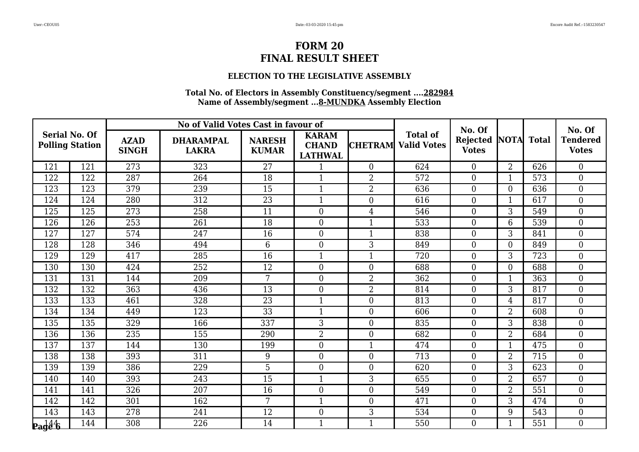### **ELECTION TO THE LEGISLATIVE ASSEMBLY**

| <b>Serial No. Of</b>                                              |     | No of Valid Votes Cast in favour of |                                  |                               |                                                |                  | No. Of                                |                                 |                | No. Of           |                                 |
|-------------------------------------------------------------------|-----|-------------------------------------|----------------------------------|-------------------------------|------------------------------------------------|------------------|---------------------------------------|---------------------------------|----------------|------------------|---------------------------------|
| <b>Polling Station</b>                                            |     | <b>AZAD</b><br><b>SINGH</b>         | <b>DHARAMPAL</b><br><b>LAKRA</b> | <b>NARESH</b><br><b>KUMAR</b> | <b>KARAM</b><br><b>CHAND</b><br><b>LATHWAL</b> | <b>CHETRAM</b>   | <b>Total of</b><br><b>Valid Votes</b> | <b>Rejected</b><br><b>Votes</b> | <b>NOTA</b>    | <b>Total</b>     | <b>Tendered</b><br><b>Votes</b> |
| 121                                                               | 121 | 273                                 | 323                              | 27                            | 1                                              | $\theta$         | 624                                   | $\overline{0}$                  | $\overline{2}$ | 626              | $\overline{0}$                  |
| 122                                                               | 122 | 287                                 | 264                              | 18                            | $\mathbf{1}$                                   | $\overline{2}$   | 572                                   | $\overline{0}$                  | 1              | 573              | $\overline{0}$                  |
| 123                                                               | 123 | 379                                 | 239                              | 15                            | $\mathbf{1}$                                   | $\overline{2}$   | 636                                   | $\overline{0}$                  | $\overline{0}$ | 636              | $\boldsymbol{0}$                |
| 124                                                               | 124 | 280                                 | 312                              | 23                            | $\mathbf{1}$                                   | $\overline{0}$   | 616                                   | $\overline{0}$                  | $\mathbf{1}$   | 617              | $\overline{0}$                  |
| 125                                                               | 125 | 273                                 | 258                              | 11                            | $\overline{0}$                                 | 4                | 546                                   | $\boldsymbol{0}$                | 3              | 549              | $\overline{0}$                  |
| 126                                                               | 126 | 253                                 | 261                              | 18                            | $\boldsymbol{0}$                               |                  | 533                                   | $\boldsymbol{0}$                | 6              | 539              | $\boldsymbol{0}$                |
| 127                                                               | 127 | 574                                 | 247                              | 16                            | $\overline{0}$                                 | $\mathbf{1}$     | 838                                   | $\overline{0}$                  | 3              | 841              | $\overline{0}$                  |
| 128                                                               | 128 | 346                                 | 494                              | $6\phantom{1}6$               | $\overline{0}$                                 | 3                | 849                                   | $\overline{0}$                  | $\overline{0}$ | 849              | $\overline{0}$                  |
| 129                                                               | 129 | 417                                 | 285                              | 16                            | $\mathbf{1}$                                   |                  | $\overline{720}$                      | $\theta$                        | 3              | $\overline{723}$ | $\theta$                        |
| 130                                                               | 130 | 424                                 | 252                              | 12                            | $\overline{0}$                                 | $\overline{0}$   | 688                                   | $\overline{0}$                  | $\overline{0}$ | 688              | $\overline{0}$                  |
| 131                                                               | 131 | 144                                 | 209                              | 7                             | $\boldsymbol{0}$                               | $\overline{2}$   | 362                                   | $\boldsymbol{0}$                | 1              | 363              | $\boldsymbol{0}$                |
| 132                                                               | 132 | 363                                 | 436                              | 13                            | $\overline{0}$                                 | $\overline{2}$   | 814                                   | $\overline{0}$                  | 3              | 817              | $\overline{0}$                  |
| 133                                                               | 133 | 461                                 | 328                              | 23                            | $\mathbf{1}$                                   | $\overline{0}$   | 813                                   | $\overline{0}$                  | $\overline{4}$ | 817              | $\overline{0}$                  |
| 134                                                               | 134 | 449                                 | 123                              | 33                            | $\mathbf{1}$                                   | $\boldsymbol{0}$ | 606                                   | $\overline{0}$                  | 2              | 608              | $\overline{0}$                  |
| 135                                                               | 135 | 329                                 | 166                              | 337                           | 3                                              | $\overline{0}$   | 835                                   | $\overline{0}$                  | 3              | 838              | $\theta$                        |
| 136                                                               | 136 | 235                                 | 155                              | 290                           | $\overline{2}$                                 | $\overline{0}$   | 682                                   | $\overline{0}$                  | $\overline{2}$ | 684              | $\overline{0}$                  |
| 137                                                               | 137 | 144                                 | 130                              | 199                           | $\boldsymbol{0}$                               | $\mathbf{1}$     | 474                                   | $\overline{0}$                  | $\mathbf{1}$   | 475              | $\overline{0}$                  |
| 138                                                               | 138 | 393                                 | 311                              | 9                             | $\overline{0}$                                 | $\overline{0}$   | 713                                   | $\overline{0}$                  | $\overline{2}$ | 715              | $\overline{0}$                  |
| 139                                                               | 139 | 386                                 | 229                              | $\overline{5}$                | $\theta$                                       | $\theta$         | 620                                   | $\overline{0}$                  | 3              | 623              | $\theta$                        |
| 140                                                               | 140 | 393                                 | 243                              | 15                            | $\mathbf{1}$                                   | 3                | 655                                   | $\boldsymbol{0}$                | $\overline{2}$ | 657              | $\overline{0}$                  |
| 141                                                               | 141 | 326                                 | 207                              | 16                            | $\overline{0}$                                 | $\overline{0}$   | 549                                   | $\overline{0}$                  | $\overline{2}$ | 551              | $\overline{0}$                  |
| 142                                                               | 142 | 301                                 | 162                              | 7                             | $\mathbf{1}$                                   | $\theta$         | 471                                   | $\overline{0}$                  | 3              | 474              | $\overline{0}$                  |
| 143                                                               | 143 | 278                                 | 241                              | 12                            | $\boldsymbol{0}$                               | 3                | 534                                   | $\boldsymbol{0}$                | 9              | 543              | $\boldsymbol{0}$                |
| $\mathbf{p}_\mathbf{a}\mathbf{d}\mathbf{\hat{d}}\mathbf{\hat{b}}$ | 144 | 308                                 | 226                              | 14                            | $\mathbf{1}$                                   | $\mathbf{1}$     | 550                                   | $\overline{0}$                  | $\mathbf{1}$   | 551              | $\Omega$                        |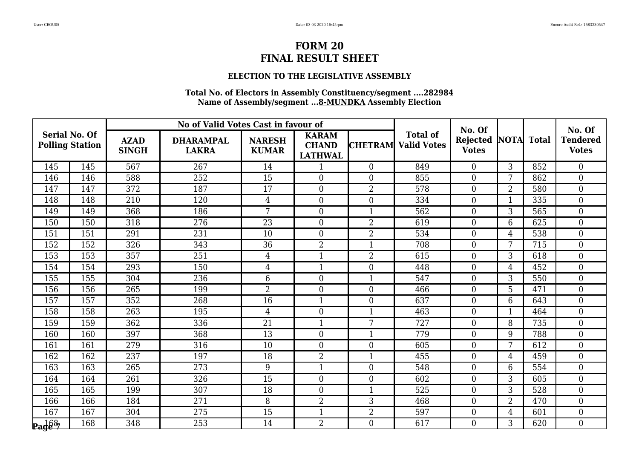### **ELECTION TO THE LEGISLATIVE ASSEMBLY**

| <b>Serial No. Of</b>                            |     | No of Valid Votes Cast in favour of |                                  |                               |                                                |                  | No. Of                                |                                 |                | No. Of       |                                 |
|-------------------------------------------------|-----|-------------------------------------|----------------------------------|-------------------------------|------------------------------------------------|------------------|---------------------------------------|---------------------------------|----------------|--------------|---------------------------------|
| <b>Polling Station</b>                          |     | <b>AZAD</b><br><b>SINGH</b>         | <b>DHARAMPAL</b><br><b>LAKRA</b> | <b>NARESH</b><br><b>KUMAR</b> | <b>KARAM</b><br><b>CHAND</b><br><b>LATHWAL</b> | <b>CHETRAM</b>   | <b>Total of</b><br><b>Valid Votes</b> | <b>Rejected</b><br><b>Votes</b> | <b>NOTA</b>    | <b>Total</b> | <b>Tendered</b><br><b>Votes</b> |
| 145                                             | 145 | 567                                 | 267                              | 14                            | $\mathbf 1$                                    | $\Omega$         | 849                                   | $\overline{0}$                  | 3              | 852          | $\Omega$                        |
| 146                                             | 146 | 588                                 | 252                              | 15                            | $\overline{0}$                                 | $\overline{0}$   | 855                                   | $\overline{0}$                  | 7              | 862          | $\overline{0}$                  |
| 147                                             | 147 | 372                                 | 187                              | 17                            | $\boldsymbol{0}$                               | $\overline{2}$   | 578                                   | $\overline{0}$                  | $\overline{2}$ | 580          | $\overline{0}$                  |
| 148                                             | 148 | 210                                 | 120                              | $\overline{4}$                | $\overline{0}$                                 | $\overline{0}$   | 334                                   | $\overline{0}$                  | $\mathbf{1}$   | 335          | $\overline{0}$                  |
| 149                                             | 149 | 368                                 | 186                              | $\overline{7}$                | $\overline{0}$                                 |                  | 562                                   | $\overline{0}$                  | 3              | 565          | $\overline{0}$                  |
| 150                                             | 150 | 318                                 | 276                              | 23                            | $\boldsymbol{0}$                               | $\overline{2}$   | 619                                   | $\overline{0}$                  | 6              | 625          | $\overline{0}$                  |
| 151                                             | 151 | 291                                 | 231                              | 10                            | $\overline{0}$                                 | $\overline{2}$   | 534                                   | $\overline{0}$                  | 4              | 538          | $\overline{0}$                  |
| 152                                             | 152 | 326                                 | 343                              | 36                            | $\overline{2}$                                 |                  | 708                                   | $\boldsymbol{0}$                | 7              | 715          | $\overline{0}$                  |
| 153                                             | 153 | 357                                 | 251                              | $\overline{4}$                | $\mathbf{1}$                                   | $\overline{2}$   | 615                                   | $\boldsymbol{0}$                | 3              | 618          | $\boldsymbol{0}$                |
| 154                                             | 154 | 293                                 | 150                              | $\overline{4}$                | $\mathbf{1}$                                   | $\theta$         | 448                                   | $\overline{0}$                  | $\overline{4}$ | 452          | $\overline{0}$                  |
| 155                                             | 155 | 304                                 | 236                              | $6\phantom{.}6$               | $\overline{0}$                                 |                  | 547                                   | $\overline{0}$                  | 3              | 550          | $\overline{0}$                  |
| 156                                             | 156 | 265                                 | 199                              | $\overline{2}$                | $\boldsymbol{0}$                               | $\boldsymbol{0}$ | 466                                   | $\overline{0}$                  | 5              | 471          | $\boldsymbol{0}$                |
| 157                                             | 157 | 352                                 | 268                              | 16                            | $\mathbf{1}$                                   | $\overline{0}$   | 637                                   | $\overline{0}$                  | 6              | 643          | $\overline{0}$                  |
| 158                                             | 158 | 263                                 | 195                              | $\overline{4}$                | $\overline{0}$                                 | $\mathbf{1}$     | 463                                   | $\overline{0}$                  | $\mathbf{1}$   | 464          | $\overline{0}$                  |
| 159                                             | 159 | 362                                 | 336                              | 21                            | $\mathbf{1}$                                   | 7                | 727                                   | $\overline{0}$                  | 8              | 735          | $\overline{0}$                  |
| 160                                             | 160 | 397                                 | 368                              | 13                            | $\boldsymbol{0}$                               | $\mathbf{1}$     | 779                                   | $\overline{0}$                  | 9              | 788          | $\boldsymbol{0}$                |
| 161                                             | 161 | 279                                 | 316                              | 10                            | $\boldsymbol{0}$                               | $\overline{0}$   | 605                                   | $\boldsymbol{0}$                | 7              | 612          | $\overline{0}$                  |
| 162                                             | 162 | 237                                 | 197                              | 18                            | $\overline{2}$                                 | $\mathbf{1}$     | 455                                   | $\overline{0}$                  | 4              | 459          | $\overline{0}$                  |
| 163                                             | 163 | 265                                 | 273                              | 9                             | $\mathbf{1}$                                   | $\theta$         | 548                                   | $\overline{0}$                  | 6              | 554          | $\overline{0}$                  |
| 164                                             | 164 | 261                                 | 326                              | 15                            | $\boldsymbol{0}$                               | $\boldsymbol{0}$ | 602                                   | $\boldsymbol{0}$                | 3              | 605          | $\boldsymbol{0}$                |
| 165                                             | 165 | 199                                 | 307                              | 18                            | $\overline{0}$                                 | $\mathbf{1}$     | 525                                   | $\overline{0}$                  | 3              | 528          | $\theta$                        |
| 166                                             | 166 | 184                                 | 271                              | 8                             | $\overline{2}$                                 | 3                | 468                                   | $\overline{0}$                  | 2              | 470          | $\boldsymbol{0}$                |
| 167                                             | 167 | 304                                 | 275                              | 15                            | $\mathbf{1}$                                   | $\overline{2}$   | 597                                   | $\overline{0}$                  | 4              | 601          | $\overline{0}$                  |
| $\mathbf{p}_\mathbf{a}$ d $\mathbf{\hat{g}}$ 87 | 168 | 348                                 | 253                              | 14                            | $\overline{2}$                                 | $\Omega$         | 617                                   | $\overline{0}$                  | 3              | 620          | $\Omega$                        |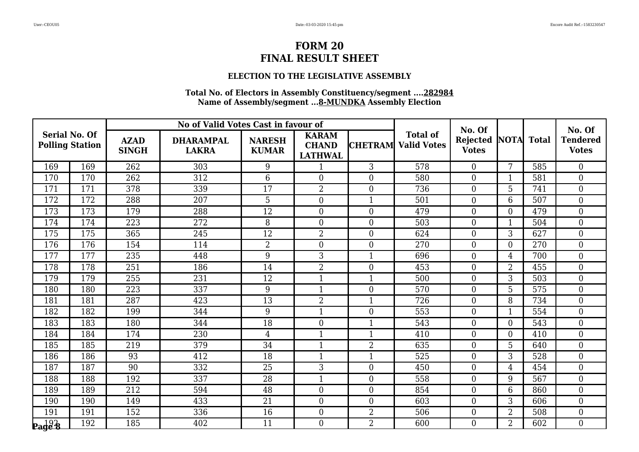### **ELECTION TO THE LEGISLATIVE ASSEMBLY**

|                                                |     |                             | No of Valid Votes Cast in favour of |                               |                                                |                  |                                       | No. Of                          |                |              | No. Of                          |
|------------------------------------------------|-----|-----------------------------|-------------------------------------|-------------------------------|------------------------------------------------|------------------|---------------------------------------|---------------------------------|----------------|--------------|---------------------------------|
| <b>Serial No. Of</b><br><b>Polling Station</b> |     | <b>AZAD</b><br><b>SINGH</b> | <b>DHARAMPAL</b><br><b>LAKRA</b>    | <b>NARESH</b><br><b>KUMAR</b> | <b>KARAM</b><br><b>CHAND</b><br><b>LATHWAL</b> | <b>CHETRAM</b>   | <b>Total of</b><br><b>Valid Votes</b> | <b>Rejected</b><br><b>Votes</b> | <b>NOTA</b>    | <b>Total</b> | <b>Tendered</b><br><b>Votes</b> |
| 169                                            | 169 | 262                         | 303                                 | 9                             | $\mathbf 1$                                    | 3                | 578                                   | $\Omega$                        | $\overline{7}$ | 585          | $\overline{0}$                  |
| 170                                            | 170 | 262                         | 312                                 | $6\phantom{.}6$               | $\overline{0}$                                 | $\overline{0}$   | 580                                   | $\boldsymbol{0}$                | 1              | 581          | $\overline{0}$                  |
| 171                                            | 171 | 378                         | 339                                 | 17                            | $\overline{2}$                                 | $\overline{0}$   | 736                                   | $\overline{0}$                  | 5              | 741          | $\overline{0}$                  |
| 172                                            | 172 | 288                         | 207                                 | 5                             | $\overline{0}$                                 | $\mathbf{1}$     | 501                                   | $\overline{0}$                  | 6              | 507          | $\overline{0}$                  |
| 173                                            | 173 | 179                         | 288                                 | 12                            | $\boldsymbol{0}$                               | $\Omega$         | 479                                   | $\boldsymbol{0}$                | $\overline{0}$ | 479          | $\overline{0}$                  |
| 174                                            | 174 | 223                         | 272                                 | 8                             | $\boldsymbol{0}$                               | $\boldsymbol{0}$ | 503                                   | $\boldsymbol{0}$                | 1              | 504          | $\boldsymbol{0}$                |
| 175                                            | 175 | 365                         | 245                                 | 12                            | $\overline{2}$                                 | $\overline{0}$   | 624                                   | $\overline{0}$                  | 3              | 627          | $\overline{0}$                  |
| 176                                            | 176 | 154                         | 114                                 | $\overline{2}$                | $\boldsymbol{0}$                               | $\overline{0}$   | 270                                   | $\boldsymbol{0}$                | $\overline{0}$ | 270          | $\overline{0}$                  |
| 177                                            | 177 | 235                         | 448                                 | 9                             | 3                                              |                  | 696                                   | $\overline{0}$                  | $\overline{4}$ | 700          | $\overline{0}$                  |
| 178                                            | 178 | 251                         | 186                                 | 14                            | $\overline{2}$                                 | $\overline{0}$   | 453                                   | $\overline{0}$                  | $\overline{2}$ | 455          | $\overline{0}$                  |
| 179                                            | 179 | 255                         | 231                                 | 12                            | $\mathbf{1}$                                   | $\mathbf{1}$     | 500                                   | $\boldsymbol{0}$                | 3              | 503          | $\overline{0}$                  |
| 180                                            | 180 | 223                         | 337                                 | 9                             | $\mathbf{1}$                                   | $\overline{0}$   | 570                                   | $\overline{0}$                  | 5              | 575          | $\overline{0}$                  |
| 181                                            | 181 | 287                         | 423                                 | 13                            | $\overline{2}$                                 | $\mathbf{1}$     | 726                                   | $\overline{0}$                  | 8              | 734          | $\overline{0}$                  |
| 182                                            | 182 | 199                         | 344                                 | 9                             | $\mathbf{1}$                                   | $\overline{0}$   | 553                                   | $\overline{0}$                  | $\mathbf{1}$   | 554          | $\overline{0}$                  |
| 183                                            | 183 | 180                         | 344                                 | 18                            | $\overline{0}$                                 | $\mathbf{1}$     | 543                                   | $\overline{0}$                  | $\overline{0}$ | 543          | $\overline{0}$                  |
| 184                                            | 184 | 174                         | 230                                 | $\overline{4}$                | $\mathbf{1}$                                   | $\mathbf{1}$     | 410                                   | $\boldsymbol{0}$                | $\overline{0}$ | 410          | $\boldsymbol{0}$                |
| 185                                            | 185 | 219                         | 379                                 | 34                            | $\mathbf{1}$                                   | $\overline{2}$   | 635                                   | $\overline{0}$                  | 5              | 640          | $\overline{0}$                  |
| 186                                            | 186 | 93                          | 412                                 | $\overline{18}$               | $\mathbf{1}$                                   | $\mathbf{1}$     | 525                                   | $\overline{0}$                  | 3              | 528          | $\theta$                        |
| 187                                            | 187 | 90                          | 332                                 | 25                            | 3                                              | $\overline{0}$   | 450                                   | $\overline{0}$                  | 4              | 454          | $\boldsymbol{0}$                |
| 188                                            | 188 | 192                         | 337                                 | 28                            | $\mathbf{1}$                                   | $\overline{0}$   | 558                                   | $\overline{0}$                  | 9              | 567          | $\overline{0}$                  |
| 189                                            | 189 | 212                         | 594                                 | 48                            | $\theta$                                       | $\theta$         | 854                                   | $\overline{0}$                  | 6              | 860          | $\theta$                        |
| 190                                            | 190 | 149                         | 433                                 | 21                            | $\overline{0}$                                 | $\overline{0}$   | 603                                   | $\overline{0}$                  | 3              | 606          | $\boldsymbol{0}$                |
| 191                                            | 191 | 152                         | 336                                 | 16                            | $\boldsymbol{0}$                               | $\overline{2}$   | 506                                   | $\boldsymbol{0}$                | 2              | 508          | $\overline{0}$                  |
| $\mathbf{p}_\mathbf{a}$ de 8                   | 192 | 185                         | 402                                 | 11                            | $\theta$                                       | $\overline{2}$   | 600                                   | $\overline{0}$                  | $\overline{2}$ | 602          | $\Omega$                        |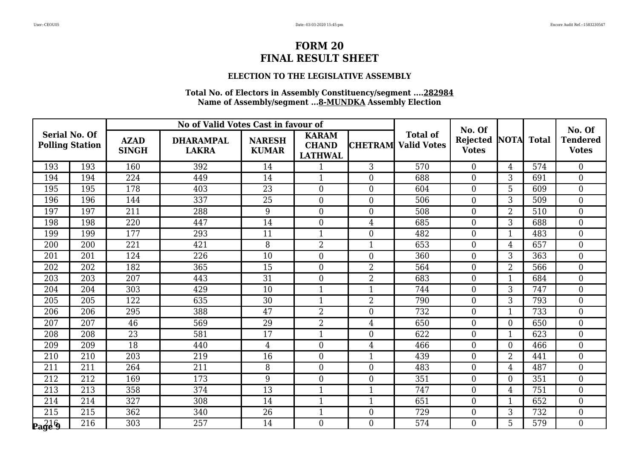### **ELECTION TO THE LEGISLATIVE ASSEMBLY**

| <b>Serial No. Of</b>     |                  | No of Valid Votes Cast in favour of |                                  |                               |                                                |                  | No. Of                                |                          |                  | No. Of       |                                 |
|--------------------------|------------------|-------------------------------------|----------------------------------|-------------------------------|------------------------------------------------|------------------|---------------------------------------|--------------------------|------------------|--------------|---------------------------------|
| <b>Polling Station</b>   |                  | <b>AZAD</b><br><b>SINGH</b>         | <b>DHARAMPAL</b><br><b>LAKRA</b> | <b>NARESH</b><br><b>KUMAR</b> | <b>KARAM</b><br><b>CHAND</b><br><b>LATHWAL</b> | <b>CHETRAM</b>   | <b>Total of</b><br><b>Valid Votes</b> | Rejected<br><b>Votes</b> | <b>NOTA</b>      | <b>Total</b> | <b>Tendered</b><br><b>Votes</b> |
| 193                      | 193              | 160                                 | 392                              | 14                            | 1                                              | 3                | 570                                   | $\overline{0}$           | $\overline{4}$   | 574          | $\overline{0}$                  |
| 194                      | 194              | 224                                 | 449                              | 14                            | $\mathbf{1}$                                   | $\Omega$         | 688                                   | $\overline{0}$           | 3                | 691          | $\overline{0}$                  |
| 195                      | 195              | 178                                 | 403                              | 23                            | $\boldsymbol{0}$                               | $\boldsymbol{0}$ | 604                                   | $\boldsymbol{0}$         | 5                | 609          | $\boldsymbol{0}$                |
| 196                      | 196              | 144                                 | 337                              | 25                            | $\overline{0}$                                 | $\overline{0}$   | 506                                   | $\overline{0}$           | 3                | 509          | $\overline{0}$                  |
| 197                      | 197              | 211                                 | 288                              | 9                             | $\overline{0}$                                 | $\Omega$         | 508                                   | $\boldsymbol{0}$         | 2                | 510          | $\overline{0}$                  |
| 198                      | 198              | 220                                 | 447                              | 14                            | $\boldsymbol{0}$                               | $\overline{4}$   | 685                                   | $\boldsymbol{0}$         | 3                | 688          | $\boldsymbol{0}$                |
| 199                      | 199              | 177                                 | 293                              | 11                            | $\mathbf{1}$                                   | $\overline{0}$   | 482                                   | $\overline{0}$           | $\mathbf{1}$     | 483          | $\overline{0}$                  |
| 200                      | 200              | 221                                 | 421                              | 8                             | $\overline{2}$                                 | $\mathbf{1}$     | 653                                   | $\overline{0}$           | 4                | 657          | $\overline{0}$                  |
| 201                      | 201              | 124                                 | 226                              | $\overline{10}$               | $\overline{0}$                                 | $\overline{0}$   | 360                                   | $\overline{0}$           | 3                | 363          | $\theta$                        |
| 202                      | 202              | 182                                 | 365                              | 15                            | $\overline{0}$                                 | $\overline{2}$   | 564                                   | $\overline{0}$           | $\overline{2}$   | 566          | $\overline{0}$                  |
| 203                      | 203              | 207                                 | 443                              | 31                            | $\boldsymbol{0}$                               | $\overline{2}$   | 683                                   | $\boldsymbol{0}$         | 1                | 684          | $\boldsymbol{0}$                |
| 204                      | 204              | 303                                 | 429                              | 10                            | $\mathbf{1}$                                   | $\mathbf{1}$     | 744                                   | $\overline{0}$           | 3                | 747          | $\overline{0}$                  |
| 205                      | 205              | 122                                 | 635                              | 30                            | $\mathbf{1}$                                   | $\overline{2}$   | 790                                   | $\overline{0}$           | 3                | 793          | $\overline{0}$                  |
| 206                      | $\overline{206}$ | 295                                 | 388                              | 47                            | $\overline{2}$                                 | $\overline{0}$   | 732                                   | $\overline{0}$           | $\mathbf{1}$     | 733          | $\overline{0}$                  |
| 207                      | 207              | 46                                  | 569                              | 29                            | $\overline{2}$                                 | 4                | 650                                   | $\overline{0}$           | $\overline{0}$   | 650          | $\theta$                        |
| 208                      | 208              | 23                                  | 581                              | 17                            |                                                | $\overline{0}$   | 622                                   | $\overline{0}$           | 1                | 623          | $\overline{0}$                  |
| 209                      | 209              | 18                                  | 440                              | $\overline{4}$                | $\boldsymbol{0}$                               | 4                | 466                                   | $\boldsymbol{0}$         | $\boldsymbol{0}$ | 466          | $\overline{0}$                  |
| 210                      | 210              | 203                                 | 219                              | 16                            | $\overline{0}$                                 | $\mathbf{1}$     | 439                                   | $\overline{0}$           | $\overline{2}$   | 441          | $\overline{0}$                  |
| 211                      | 211              | 264                                 | 211                              | 8                             | $\overline{0}$                                 | $\Omega$         | 483                                   | $\overline{0}$           | 4                | 487          | $\Omega$                        |
| 212                      | 212              | 169                                 | 173                              | $9\,$                         | $\boldsymbol{0}$                               | $\overline{0}$   | 351                                   | $\boldsymbol{0}$         | $\overline{0}$   | 351          | $\overline{0}$                  |
| 213                      | 213              | 358                                 | 374                              | 13                            | $\mathbf{1}$                                   | $\mathbf{1}$     | 747                                   | $\overline{0}$           | 4                | 751          | $\overline{0}$                  |
| 214                      | 214              | 327                                 | 308                              | 14                            | $\mathbf{1}$                                   |                  | 651                                   | $\boldsymbol{0}$         | 1                | 652          | $\overline{0}$                  |
| 215                      | 215              | 362                                 | 340                              | 26                            | $\mathbf{1}$                                   | $\boldsymbol{0}$ | 729                                   | $\boldsymbol{0}$         | 3                | 732          | $\boldsymbol{0}$                |
| $\mathbf{p_3}^{216}_{9}$ | 216              | 303                                 | 257                              | 14                            | $\theta$                                       | $\overline{0}$   | 574                                   | $\overline{0}$           | 5                | 579          | $\Omega$                        |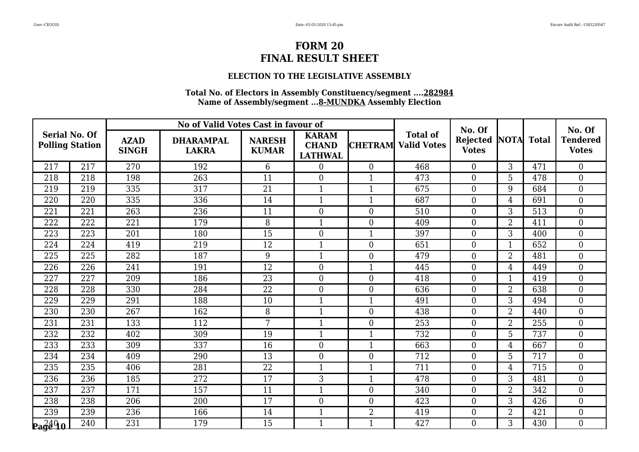### **ELECTION TO THE LEGISLATIVE ASSEMBLY**

| <b>Serial No. Of</b>              |     | No of Valid Votes Cast in favour of |                                  |                               |                                                |                  | No. Of                                |                                 |                | No. Of       |                                 |
|-----------------------------------|-----|-------------------------------------|----------------------------------|-------------------------------|------------------------------------------------|------------------|---------------------------------------|---------------------------------|----------------|--------------|---------------------------------|
| <b>Polling Station</b>            |     | <b>AZAD</b><br><b>SINGH</b>         | <b>DHARAMPAL</b><br><b>LAKRA</b> | <b>NARESH</b><br><b>KUMAR</b> | <b>KARAM</b><br><b>CHAND</b><br><b>LATHWAL</b> | <b>CHETRAM</b>   | <b>Total of</b><br><b>Valid Votes</b> | <b>Rejected</b><br><b>Votes</b> | <b>NOTA</b>    | <b>Total</b> | <b>Tendered</b><br><b>Votes</b> |
| 217                               | 217 | 270                                 | 192                              | 6                             | $\overline{0}$                                 | $\theta$         | 468                                   | $\overline{0}$                  | 3              | 471          | $\Omega$                        |
| 218                               | 218 | 198                                 | 263                              | 11                            | $\overline{0}$                                 |                  | 473                                   | $\overline{0}$                  | 5              | 478          | $\overline{0}$                  |
| 219                               | 219 | 335                                 | 317                              | 21                            | $\mathbf{1}$                                   | $\mathbf{1}$     | 675                                   | $\overline{0}$                  | 9              | 684          | $\overline{0}$                  |
| 220                               | 220 | 335                                 | 336                              | 14                            | $\mathbf{1}$                                   | $\mathbf{1}$     | 687                                   | $\overline{0}$                  | $\overline{4}$ | 691          | $\overline{0}$                  |
| 221                               | 221 | 263                                 | 236                              | 11                            | $\overline{0}$                                 | $\overline{0}$   | 510                                   | $\overline{0}$                  | 3              | 513          | $\overline{0}$                  |
| 222                               | 222 | 221                                 | 179                              | 8                             | $\mathbf{1}$                                   | $\overline{0}$   | 409                                   | $\overline{0}$                  | $\overline{2}$ | 411          | $\overline{0}$                  |
| 223                               | 223 | 201                                 | 180                              | 15                            | $\overline{0}$                                 | $\mathbf{1}$     | 397                                   | $\overline{0}$                  | 3              | 400          | $\overline{0}$                  |
| 224                               | 224 | 419                                 | 219                              | 12                            | $\mathbf{1}$                                   | $\overline{0}$   | 651                                   | $\boldsymbol{0}$                | 1              | 652          | $\overline{0}$                  |
| 225                               | 225 | 282                                 | 187                              | 9                             | $\mathbf{1}$                                   | $\boldsymbol{0}$ | 479                                   | $\boldsymbol{0}$                | 2              | 481          | $\boldsymbol{0}$                |
| 226                               | 226 | 241                                 | 191                              | 12                            | $\overline{0}$                                 | $\mathbf{1}$     | 445                                   | $\Omega$                        | $\overline{4}$ | 449          | $\overline{0}$                  |
| 227                               | 227 | 209                                 | 186                              | 23                            | $\overline{0}$                                 | $\Omega$         | 418                                   | $\overline{0}$                  | 1              | 419          | $\overline{0}$                  |
| 228                               | 228 | 330                                 | 284                              | 22                            | $\boldsymbol{0}$                               | $\boldsymbol{0}$ | 636                                   | $\overline{0}$                  | $\overline{2}$ | 638          | $\boldsymbol{0}$                |
| 229                               | 229 | 291                                 | 188                              | 10                            | $\mathbf{1}$                                   | $\mathbf{1}$     | 491                                   | $\overline{0}$                  | 3              | 494          | $\overline{0}$                  |
| 230                               | 230 | 267                                 | 162                              | 8                             | $\mathbf{1}$                                   | $\overline{0}$   | 438                                   | $\overline{0}$                  | $\overline{2}$ | 440          | $\overline{0}$                  |
| 231                               | 231 | 133                                 | 112                              | 7                             | $\mathbf{1}$                                   | $\overline{0}$   | 253                                   | $\overline{0}$                  | $\overline{2}$ | 255          | $\overline{0}$                  |
| 232                               | 232 | 402                                 | 309                              | 19                            | $\mathbf{1}$                                   | $\mathbf{1}$     | 732                                   | $\overline{0}$                  | 5              | 737          | $\overline{0}$                  |
| 233                               | 233 | 309                                 | 337                              | 16                            | $\boldsymbol{0}$                               | 1                | 663                                   | $\boldsymbol{0}$                | 4              | 667          | $\overline{0}$                  |
| 234                               | 234 | 409                                 | 290                              | $\overline{13}$               | $\overline{0}$                                 | $\overline{0}$   | 712                                   | $\overline{0}$                  | 5              | 717          | $\overline{0}$                  |
| 235                               | 235 | 406                                 | 281                              | 22                            | $\mathbf{1}$                                   | $\mathbf{1}$     | 711                                   | $\overline{0}$                  | $\overline{4}$ | 715          | $\overline{0}$                  |
| 236                               | 236 | 185                                 | 272                              | 17                            | 3                                              |                  | 478                                   | $\boldsymbol{0}$                | 3              | 481          | $\boldsymbol{0}$                |
| 237                               | 237 | 171                                 | 157                              | 11                            | $\overline{1}$                                 | $\overline{0}$   | 340                                   | $\overline{0}$                  | $\overline{2}$ | 342          | $\theta$                        |
| 238                               | 238 | 206                                 | 200                              | 17                            | $\overline{0}$                                 | $\overline{0}$   | 423                                   | $\overline{0}$                  | 3              | 426          | $\boldsymbol{0}$                |
| 239                               | 239 | 236                                 | 166                              | 14                            | $\mathbf{1}$                                   | $\overline{2}$   | 419                                   | $\overline{0}$                  | $\overline{2}$ | 421          | $\overline{0}$                  |
| $\mathbf{p_3} \substack{240\ 40}$ | 240 | 231                                 | 179                              | 15                            | $\mathbf{1}$                                   | $\mathbf{1}$     | 427                                   | $\overline{0}$                  | 3              | 430          | $\Omega$                        |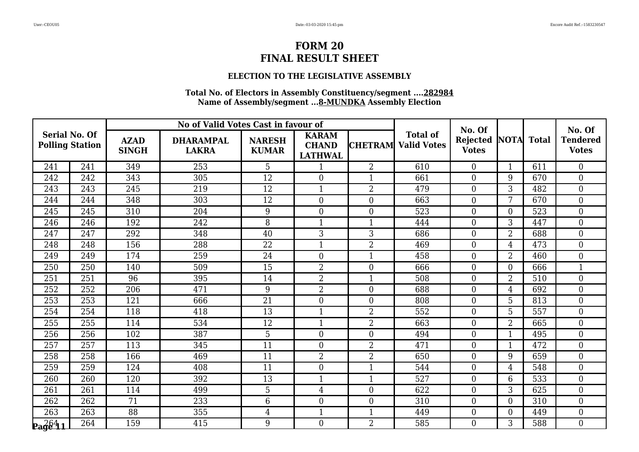### **ELECTION TO THE LEGISLATIVE ASSEMBLY**

| <b>Serial No. Of</b>                                 |     | No of Valid Votes Cast in favour of |                                  |                               |                                                |                | No. Of                                |                                 |                | No. Of       |                                 |
|------------------------------------------------------|-----|-------------------------------------|----------------------------------|-------------------------------|------------------------------------------------|----------------|---------------------------------------|---------------------------------|----------------|--------------|---------------------------------|
| <b>Polling Station</b>                               |     | <b>AZAD</b><br><b>SINGH</b>         | <b>DHARAMPAL</b><br><b>LAKRA</b> | <b>NARESH</b><br><b>KUMAR</b> | <b>KARAM</b><br><b>CHAND</b><br><b>LATHWAL</b> | <b>CHETRAM</b> | <b>Total of</b><br><b>Valid Votes</b> | <b>Rejected</b><br><b>Votes</b> | <b>NOTA</b>    | <b>Total</b> | <b>Tendered</b><br><b>Votes</b> |
| 241                                                  | 241 | 349                                 | 253                              | 5                             | $\mathbf 1$                                    | $\overline{2}$ | 610                                   | $\overline{0}$                  | $\mathbf{1}$   | 611          | $\Omega$                        |
| 242                                                  | 242 | 343                                 | 305                              | 12                            | $\overline{0}$                                 |                | 661                                   | $\overline{0}$                  | 9              | 670          | $\overline{0}$                  |
| 243                                                  | 243 | 245                                 | 219                              | 12                            | $\mathbf{1}$                                   | $\overline{2}$ | 479                                   | $\overline{0}$                  | 3              | 482          | $\overline{0}$                  |
| 244                                                  | 244 | 348                                 | 303                              | 12                            | $\overline{0}$                                 | $\overline{0}$ | 663                                   | $\overline{0}$                  | 7              | 670          | $\overline{0}$                  |
| 245                                                  | 245 | 310                                 | $\overline{204}$                 | 9                             | $\overline{0}$                                 | $\overline{0}$ | 523                                   | $\overline{0}$                  | $\overline{0}$ | 523          | $\overline{0}$                  |
| 246                                                  | 246 | 192                                 | 242                              | 8                             | $\mathbf{1}$                                   | $\mathbf{1}$   | 444                                   | $\overline{0}$                  | 3              | 447          | $\overline{0}$                  |
| 247                                                  | 247 | 292                                 | 348                              | 40                            | 3                                              | 3              | 686                                   | $\overline{0}$                  | $\overline{2}$ | 688          | $\overline{0}$                  |
| 248                                                  | 248 | 156                                 | 288                              | 22                            | $\mathbf{1}$                                   | $\overline{2}$ | 469                                   | $\boldsymbol{0}$                | 4              | 473          | $\overline{0}$                  |
| 249                                                  | 249 | 174                                 | 259                              | 24                            | $\boldsymbol{0}$                               | $\mathbf{1}$   | 458                                   | $\boldsymbol{0}$                | 2              | 460          | $\boldsymbol{0}$                |
| 250                                                  | 250 | 140                                 | 509                              | 15                            | $\overline{2}$                                 | $\theta$       | 666                                   | $\Omega$                        | $\overline{0}$ | 666          | $\mathbf{1}$                    |
| 251                                                  | 251 | 96                                  | 395                              | 14                            | $\overline{2}$                                 |                | 508                                   | $\overline{0}$                  | 2              | 510          | $\overline{0}$                  |
| 252                                                  | 252 | 206                                 | 471                              | 9                             | $\overline{2}$                                 | $\overline{0}$ | 688                                   | $\overline{0}$                  | 4              | 692          | $\boldsymbol{0}$                |
| 253                                                  | 253 | 121                                 | 666                              | 21                            | $\boldsymbol{0}$                               | $\overline{0}$ | 808                                   | $\overline{0}$                  | 5              | 813          | $\overline{0}$                  |
| 254                                                  | 254 | 118                                 | 418                              | 13                            | $\mathbf{1}$                                   | $\overline{2}$ | 552                                   | $\overline{0}$                  | 5              | 557          | $\overline{0}$                  |
| 255                                                  | 255 | 114                                 | 534                              | 12                            | $\mathbf{1}$                                   | $\overline{2}$ | 663                                   | $\overline{0}$                  | $\overline{2}$ | 665          | $\overline{0}$                  |
| 256                                                  | 256 | 102                                 | 387                              | 5                             | $\boldsymbol{0}$                               | $\overline{0}$ | 494                                   | $\overline{0}$                  | $\mathbf{1}$   | 495          | $\overline{0}$                  |
| 257                                                  | 257 | 113                                 | 345                              | 11                            | $\boldsymbol{0}$                               | $\overline{2}$ | 471                                   | $\boldsymbol{0}$                | 1              | 472          | $\overline{0}$                  |
| 258                                                  | 258 | 166                                 | 469                              | 11                            | $\overline{2}$                                 | $\overline{2}$ | 650                                   | $\overline{0}$                  | 9              | 659          | $\overline{0}$                  |
| 259                                                  | 259 | 124                                 | 408                              | 11                            | $\overline{0}$                                 | $\mathbf{1}$   | 544                                   | $\overline{0}$                  | $\overline{4}$ | 548          | $\overline{0}$                  |
| 260                                                  | 260 | 120                                 | 392                              | 13                            | $\mathbf{1}$                                   |                | 527                                   | $\boldsymbol{0}$                | 6              | 533          | $\boldsymbol{0}$                |
| 261                                                  | 261 | 114                                 | 499                              | 5                             | $\overline{4}$                                 | $\Omega$       | 622                                   | $\overline{0}$                  | 3              | 625          | $\theta$                        |
| 262                                                  | 262 | 71                                  | 233                              | $6\phantom{.}6$               | $\overline{0}$                                 | $\overline{0}$ | 310                                   | $\overline{0}$                  | 0              | 310          | $\boldsymbol{0}$                |
| 263                                                  | 263 | 88                                  | 355                              | $\overline{4}$                | $\mathbf{1}$                                   | $\mathbf{1}$   | 449                                   | $\overline{0}$                  | $\overline{0}$ | 449          | $\overline{0}$                  |
| $\mathbf{p_3} \hat{g} \hat{e} \textbf{1} \textbf{1}$ | 264 | 159                                 | 415                              | 9                             | $\theta$                                       | 2              | 585                                   | $\overline{0}$                  | 3              | 588          | $\Omega$                        |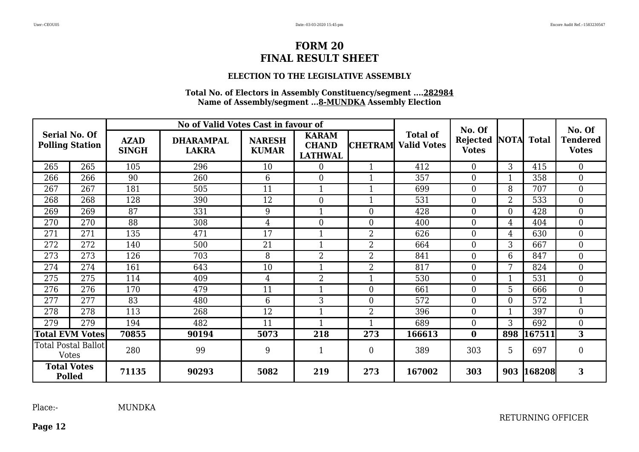#### **ELECTION TO THE LEGISLATIVE ASSEMBLY**

#### **Total No. of Electors in Assembly Constituency/segment ....282984 Name of Assembly/segment ...8-MUNDKA Assembly Election**

|                                         |                            |                             | No of Valid Votes Cast in favour of |                               |                                                |                  |                                               | No. Of                   |                  |              | No. Of                          |
|-----------------------------------------|----------------------------|-----------------------------|-------------------------------------|-------------------------------|------------------------------------------------|------------------|-----------------------------------------------|--------------------------|------------------|--------------|---------------------------------|
| Serial No. Of<br><b>Polling Station</b> |                            | <b>AZAD</b><br><b>SINGH</b> | <b>DHARAMPAL</b><br><b>LAKRA</b>    | <b>NARESH</b><br><b>KUMAR</b> | <b>KARAM</b><br><b>CHAND</b><br><b>LATHWAL</b> |                  | <b>Total of</b><br><b>CHETRAM</b> Valid Votes | Rejected<br><b>Votes</b> | <b>NOTA</b>      | <b>Total</b> | <b>Tendered</b><br><b>Votes</b> |
| 265                                     | 265                        | 105                         | 296                                 | 10                            | $\boldsymbol{0}$                               |                  | 412                                           | $\overline{0}$           | 3                | 415          | $\overline{0}$                  |
| 266                                     | 266                        | 90                          | 260                                 | 6                             | $\theta$                                       |                  | 357                                           | $\overline{0}$           |                  | 358          | $\overline{0}$                  |
| 267                                     | 267                        | 181                         | 505                                 | 11                            |                                                |                  | 699                                           | $\overline{0}$           | 8                | 707          | $\overline{0}$                  |
| 268                                     | 268                        | 128                         | 390                                 | 12                            | $\theta$                                       |                  | 531                                           | $\theta$                 | 2                | 533          | $\overline{0}$                  |
| 269                                     | 269                        | 87                          | 331                                 | 9                             |                                                | $\theta$         | 428                                           | $\theta$                 | $\overline{0}$   | 428          | $\overline{0}$                  |
| 270                                     | 270                        | 88                          | 308                                 | 4                             | $\boldsymbol{0}$                               | $\overline{0}$   | 400                                           | $\overline{0}$           | 4                | 404          | $\boldsymbol{0}$                |
| 271                                     | 271                        | 135                         | 471                                 | 17                            | $\mathbf{1}$                                   | 2                | 626                                           | $\overline{0}$           | 4                | 630          | $\overline{0}$                  |
| 272                                     | 272                        | 140                         | 500                                 | 21                            | $\mathbf{1}$                                   | 2                | 664                                           | $\overline{0}$           | 3                | 667          | $\overline{0}$                  |
| 273                                     | 273                        | 126                         | 703                                 | 8                             | $\overline{2}$                                 | $\overline{2}$   | 841                                           | $\overline{0}$           | 6                | 847          | $\overline{0}$                  |
| 274                                     | 274                        | 161                         | 643                                 | 10                            |                                                | $\overline{2}$   | 817                                           | $\overline{0}$           | 7                | 824          | $\overline{0}$                  |
| 275                                     | 275                        | 114                         | 409                                 | $\overline{4}$                | $\overline{2}$                                 |                  | 530                                           | $\theta$                 | $\mathbf{1}$     | 531          | $\overline{0}$                  |
| 276                                     | 276                        | 170                         | 479                                 | 11                            |                                                | $\overline{0}$   | 661                                           | $\theta$                 | 5                | 666          | $\overline{0}$                  |
| 277                                     | 277                        | 83                          | 480                                 | $6\phantom{1}6$               | 3                                              | $\boldsymbol{0}$ | 572                                           | $\overline{0}$           | $\boldsymbol{0}$ | 572          | $\mathbf{1}$                    |
| 278                                     | 278                        | 113                         | 268                                 | 12                            | $\mathbf{1}$                                   | 2                | 396                                           | $\overline{0}$           | $\mathbf{1}$     | 397          | $\overline{0}$                  |
| 279                                     | 279                        | 194                         | 482                                 | 11                            | $\mathbf{1}$                                   |                  | 689                                           | $\theta$                 | 3                | 692          | $\overline{0}$                  |
|                                         | <b>Total EVM Votes</b>     | 70855                       | 90194                               | 5073                          | 218                                            | 273              | 166613                                        | $\bf{0}$                 | 898              | 167511       | 3                               |
| <b>Votes</b>                            | <b>Total Postal Ballot</b> | 280                         | 99                                  | 9                             | $\mathbf{1}$                                   | $\boldsymbol{0}$ | 389                                           | 303                      | 5                | 697          | $\boldsymbol{0}$                |
| <b>Total Votes</b><br><b>Polled</b>     |                            | 71135                       | 90293                               | 5082                          | 219                                            | 273              | 167002                                        | 303                      | 903              | 168208       | 3                               |

**Page 12**